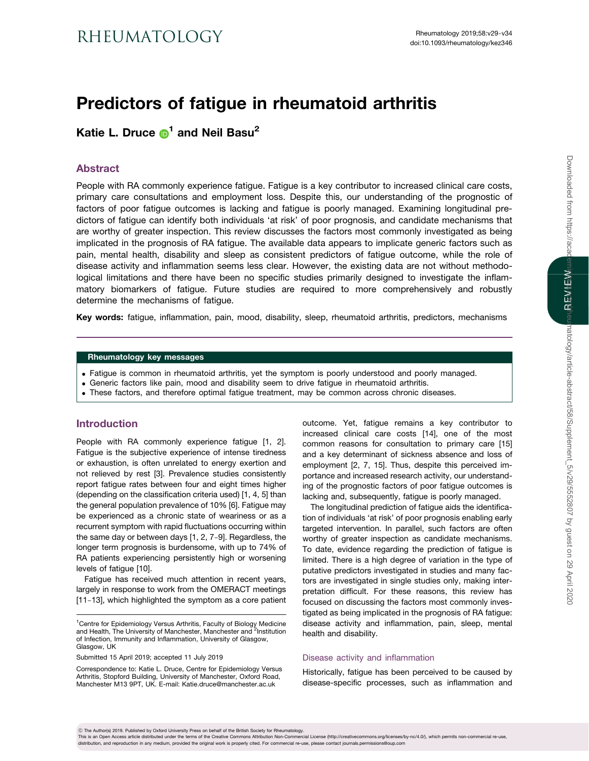# Predictors of fatigue in rheumatoid arthritis

Katie L. Druce  $\mathbf{D}^1$  $\mathbf{D}^1$  and Neil Basu<sup>2</sup>

# Abstract

People with RA commonly experience fatigue. Fatigue is a key contributor to increased clinical care costs, primary care consultations and employment loss. Despite this, our understanding of the prognostic of factors of poor fatigue outcomes is lacking and fatigue is poorly managed. Examining longitudinal predictors of fatigue can identify both individuals 'at risk' of poor prognosis, and candidate mechanisms that are worthy of greater inspection. This review discusses the factors most commonly investigated as being implicated in the prognosis of RA fatigue. The available data appears to implicate generic factors such as pain, mental health, disability and sleep as consistent predictors of fatigue outcome, while the role of disease activity and inflammation seems less clear. However, the existing data are not without methodological limitations and there have been no specific studies primarily designed to investigate the inflammatory biomarkers of fatigue. Future studies are required to more comprehensively and robustly determine the mechanisms of fatigue.

Key words: fatigue, inflammation, pain, mood, disability, sleep, rheumatoid arthritis, predictors, mechanisms

#### Rheumatology key messages

- . Fatigue is common in rheumatoid arthritis, yet the symptom is poorly understood and poorly managed.
- . Generic factors like pain, mood and disability seem to drive fatigue in rheumatoid arthritis.
- . These factors, and therefore optimal fatigue treatment, may be common across chronic diseases.

# Introduction

People with RA commonly experience fatigue [[1](#page-3-0), [2](#page-3-0)]. Fatigue is the subjective experience of intense tiredness or exhaustion, is often unrelated to energy exertion and not relieved by rest [\[3](#page-3-0)]. Prevalence studies consistently report fatigue rates between four and eight times higher (depending on the classification criteria used) [[1](#page-3-0), [4, 5\]](#page-3-0) than the general population prevalence of 10% [\[6\]](#page-3-0). Fatigue may be experienced as a chronic state of weariness or as a recurrent symptom with rapid fluctuations occurring within the same day or between days [[1](#page-3-0), [2, 7](#page-3-0)-[9\]](#page-3-0). Regardless, the longer term prognosis is burdensome, with up to 74% of RA patients experiencing persistently high or worsening levels of fatigue [\[10\]](#page-3-0).

Fatigue has received much attention in recent years, largely in response to work from the OMERACT meetings [[11](#page-3-0)-[13](#page-3-0)], which highlighted the symptom as a core patient

Submitted 15 April 2019; accepted 11 July 2019

Correspondence to: Katie L. Druce, Centre for Epidemiology Versus Arthritis, Stopford Building, University of Manchester, Oxford Road, Manchester M13 9PT, UK. E-mail: Katie.druce@manchester.ac.uk

outcome. Yet, fatigue remains a key contributor to increased clinical care costs [[14](#page-3-0)], one of the most common reasons for consultation to primary care [\[15\]](#page-3-0) and a key determinant of sickness absence and loss of employment [\[2](#page-3-0), [7, 15](#page-3-0)]. Thus, despite this perceived importance and increased research activity, our understanding of the prognostic factors of poor fatigue outcomes is lacking and, subsequently, fatigue is poorly managed.

The longitudinal prediction of fatigue aids the identification of individuals 'at risk' of poor prognosis enabling early targeted intervention. In parallel, such factors are often worthy of greater inspection as candidate mechanisms. To date, evidence regarding the prediction of fatigue is limited. There is a high degree of variation in the type of putative predictors investigated in studies and many factors are investigated in single studies only, making interpretation difficult. For these reasons, this review has focused on discussing the factors most commonly investigated as being implicated in the prognosis of RA fatigue: disease activity and inflammation, pain, sleep, mental health and disability.

## Disease activity and inflammation

Historically, fatigue has been perceived to be caused by disease-specific processes, such as inflammation and

! The Author(s) 2019. Published by Oxford University Press on behalf of the British Society for Rheumatology.

This is an Open Access article distributed under the terms of the Creative Commons Attribution Non-Commercial License (http://creativecommons.org/licenses/by-nc/4.0/), which permits non-commercial re-use, distribution, and reproduction in any medium, provided the original work is properly cited. For commercial re-use, please contact journals.permissions@oup.com

<sup>&</sup>lt;sup>1</sup> Centre for Epidemiology Versus Arthritis, Faculty of Biology Medicine and Health, The University of Manchester, Manchester and <sup>2</sup>Institution of Infection, Immunity and Inflammation, University of Glasgow, Glasgow, UK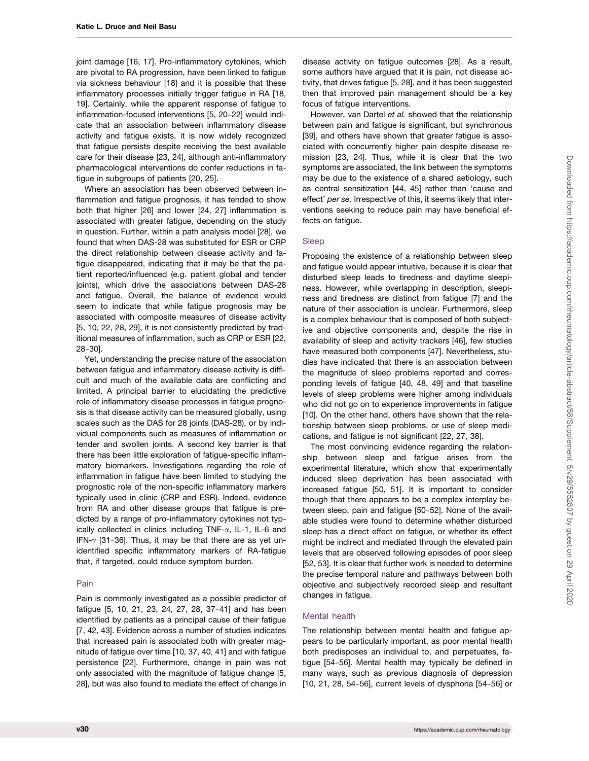joint damage [\[16](#page-3-0), [17](#page-3-0)]. Pro-inflammatory cytokines, which are pivotal to RA progression, have been linked to fatigue via sickness behaviour [\[18](#page-3-0)] and it is possible that these inflammatory processes initially trigger fatigue in RA [[18](#page-3-0), [19\]](#page-3-0). Certainly, while the apparent response of fatigue to inflammation-focused interventions [[5](#page-3-0), [20](#page-3-0)-[22](#page-3-0)] would indicate that an association between inflammatory disease activity and fatigue exists, it is now widely recognized that fatigue persists despite receiving the best available care for their disease [[23](#page-3-0), [24\]](#page-3-0), although anti-inflammatory pharmacological interventions do confer reductions in fatigue in subgroups of patients [[20](#page-3-0), [25\]](#page-3-0).

Where an association has been observed between inflammation and fatigue prognosis, it has tended to show both that higher [\[26\]](#page-3-0) and lower [\[24, 27](#page-3-0)] inflammation is associated with greater fatigue, depending on the study in question. Further, within a path analysis model [\[28](#page-4-0)], we found that when DAS-28 was substituted for ESR or CRP the direct relationship between disease activity and fatigue disappeared, indicating that it may be that the patient reported/influenced (e.g. patient global and tender joints), which drive the associations between DAS-28 and fatigue. Overall, the balance of evidence would seem to indicate that while fatigue prognosis may be associated with composite measures of disease activity [[5](#page-3-0), [10, 22,](#page-3-0) [28](#page-4-0), [29](#page-4-0)], it is not consistently predicted by traditional measures of inflammation, such as CRP or ESR [[22](#page-3-0), [28](#page-4-0)-[30](#page-4-0)].

Yet, understanding the precise nature of the association between fatigue and inflammatory disease activity is difficult and much of the available data are conflicting and limited. A principal barrier to elucidating the predictive role of inflammatory disease processes in fatigue prognosis is that disease activity can be measured globally, using scales such as the DAS for 28 joints (DAS-28), or by individual components such as measures of inflammation or tender and swollen joints. A second key barrier is that there has been little exploration of fatigue-specific inflammatory biomarkers. Investigations regarding the role of inflammation in fatigue have been limited to studying the prognostic role of the non-specific inflammatory markers typically used in clinic (CRP and ESR). Indeed, evidence from RA and other disease groups that fatigue is predicted by a range of pro-inflammatory cytokines not typically collected in clinics including  $TNF-\alpha$ , IL-1, IL-6 and IFN- $\gamma$  [[31](#page-4-0)-[36\]](#page-4-0). Thus, it may be that there are as yet unidentified specific inflammatory markers of RA-fatigue that, if targeted, could reduce symptom burden.

#### Pain

Pain is commonly investigated as a possible predictor of fatigue [[5, 10](#page-3-0), [21, 23](#page-3-0), [24, 27](#page-3-0), [28](#page-4-0), [37](#page-4-0)-[41\]](#page-4-0) and has been identified by patients as a principal cause of their fatigue [[7](#page-3-0), [42](#page-4-0), [43](#page-4-0)]. Evidence across a number of studies indicates that increased pain is associated both with greater magnitude of fatigue over time [[10](#page-3-0), [37](#page-4-0), [40](#page-4-0), [41](#page-4-0)] and with fatigue persistence [[22](#page-3-0)]. Furthermore, change in pain was not only associated with the magnitude of fatigue change [[5](#page-3-0), [28\]](#page-4-0), but was also found to mediate the effect of change in

disease activity on fatigue outcomes [[28](#page-4-0)]. As a result, some authors have argued that it is pain, not disease activity, that drives fatigue [\[5,](#page-3-0) [28\]](#page-4-0), and it has been suggested then that improved pain management should be a key focus of fatigue interventions.

However, van Dartel et al. showed that the relationship between pain and fatigue is significant, but synchronous [[39](#page-4-0)], and others have shown that greater fatigue is associated with concurrently higher pain despite disease remission [[23](#page-3-0), [24](#page-3-0)]. Thus, while it is clear that the two symptoms are associated, the link between the symptoms may be due to the existence of a shared aetiology, such as central sensitization [[44](#page-4-0), [45\]](#page-4-0) rather than 'cause and effect' per se. Irrespective of this, it seems likely that interventions seeking to reduce pain may have beneficial effects on fatigue.

## Sleep

Proposing the existence of a relationship between sleep and fatigue would appear intuitive, because it is clear that disturbed sleep leads to tiredness and daytime sleepiness. However, while overlapping in description, sleepiness and tiredness are distinct from fatigue [\[7\]](#page-3-0) and the nature of their association is unclear. Furthermore, sleep is a complex behaviour that is composed of both subjective and objective components and, despite the rise in availability of sleep and activity trackers [\[46\]](#page-4-0), few studies have measured both components [[47\]](#page-4-0). Nevertheless, studies have indicated that there is an association between the magnitude of sleep problems reported and corresponding levels of fatigue [[40](#page-4-0), [48, 49\]](#page-4-0) and that baseline levels of sleep problems were higher among individuals who did not go on to experience improvements in fatigue [[10](#page-3-0)]. On the other hand, others have shown that the relationship between sleep problems, or use of sleep medications, and fatigue is not significant [\[22](#page-3-0), [27,](#page-3-0) [38\]](#page-4-0).

The most convincing evidence regarding the relationship between sleep and fatigue arises from the experimental literature, which show that experimentally induced sleep deprivation has been associated with increased fatigue [[50, 51\]](#page-4-0). It is important to consider though that there appears to be a complex interplay between sleep, pain and fatigue [[50](#page-4-0)-[52](#page-4-0)]. None of the available studies were found to determine whether disturbed sleep has a direct effect on fatigue, or whether its effect might be indirect and mediated through the elevated pain levels that are observed following episodes of poor sleep [[52](#page-4-0), [53](#page-4-0)]. It is clear that further work is needed to determine the precise temporal nature and pathways between both objective and subjectively recorded sleep and resultant changes in fatigue.

## Mental health

The relationship between mental health and fatigue appears to be particularly important, as poor mental health both predisposes an individual to, and perpetuates, fatigue [\[54](#page-4-0)-[56](#page-4-0)]. Mental health may typically be defined in many ways, such as previous diagnosis of depression [[10](#page-3-0), [21,](#page-3-0) [28](#page-4-0), [54](#page-4-0)-[56](#page-4-0)], current levels of dysphoria [\[54](#page-4-0)-56] or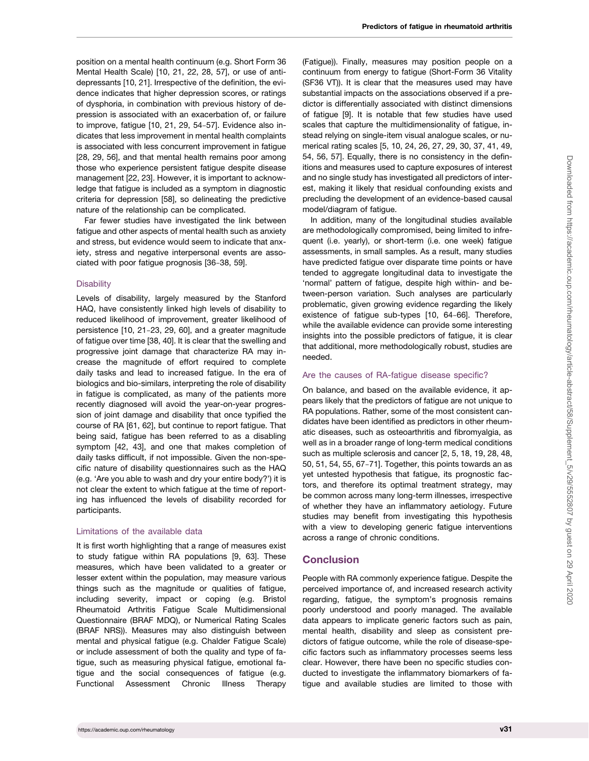position on a mental health continuum (e.g. Short Form 36 Mental Health Scale) [[10](#page-3-0), [21](#page-3-0), [22](#page-3-0), [28](#page-4-0), [57](#page-4-0)], or use of antidepressants [\[10, 21\]](#page-3-0). Irrespective of the definition, the evidence indicates that higher depression scores, or ratings of dysphoria, in combination with previous history of depression is associated with an exacerbation of, or failure to improve, fatigue [[10](#page-3-0), [21,](#page-3-0) [29, 54](#page-4-0)-[57\]](#page-4-0). Evidence also indicates that less improvement in mental health complaints is associated with less concurrent improvement in fatigue [[28, 29, 56](#page-4-0)], and that mental health remains poor among those who experience persistent fatigue despite disease management [\[22, 23\]](#page-3-0). However, it is important to acknowledge that fatigue is included as a symptom in diagnostic criteria for depression [\[58](#page-4-0)], so delineating the predictive nature of the relationship can be complicated.

Far fewer studies have investigated the link between fatigue and other aspects of mental health such as anxiety and stress, but evidence would seem to indicate that anxiety, stress and negative interpersonal events are associated with poor fatigue prognosis [\[36](#page-4-0)-[38](#page-4-0), [59\]](#page-5-0).

#### **Disability**

Levels of disability, largely measured by the Stanford HAQ, have consistently linked high levels of disability to reduced likelihood of improvement, greater likelihood of persistence [\[10, 21](#page-3-0)-[23,](#page-3-0) [29,](#page-4-0) [60](#page-5-0)], and a greater magnitude of fatigue over time [\[38, 40\]](#page-4-0). It is clear that the swelling and progressive joint damage that characterize RA may increase the magnitude of effort required to complete daily tasks and lead to increased fatigue. In the era of biologics and bio-similars, interpreting the role of disability in fatigue is complicated, as many of the patients more recently diagnosed will avoid the year-on-year progression of joint damage and disability that once typified the course of RA [[61](#page-5-0), [62](#page-5-0)], but continue to report fatigue. That being said, fatigue has been referred to as a disabling symptom [[42](#page-4-0), [43](#page-4-0)], and one that makes completion of daily tasks difficult, if not impossible. Given the non-specific nature of disability questionnaires such as the HAQ (e.g. 'Are you able to wash and dry your entire body?') it is not clear the extent to which fatigue at the time of reporting has influenced the levels of disability recorded for participants.

## Limitations of the available data

It is first worth highlighting that a range of measures exist to study fatigue within RA populations [[9](#page-3-0), [63](#page-5-0)]. These measures, which have been validated to a greater or lesser extent within the population, may measure various things such as the magnitude or qualities of fatigue, including severity, impact or coping (e.g. Bristol Rheumatoid Arthritis Fatigue Scale Multidimensional Questionnaire (BRAF MDQ), or Numerical Rating Scales (BRAF NRS)). Measures may also distinguish between mental and physical fatigue (e.g. Chalder Fatigue Scale) or include assessment of both the quality and type of fatigue, such as measuring physical fatigue, emotional fatigue and the social consequences of fatigue (e.g. Functional Assessment Chronic Illness Therapy

(Fatigue)). Finally, measures may position people on a continuum from energy to fatigue (Short-Form 36 Vitality (SF36 VT)). It is clear that the measures used may have substantial impacts on the associations observed if a predictor is differentially associated with distinct dimensions of fatigue [\[9](#page-3-0)]. It is notable that few studies have used scales that capture the multidimensionality of fatigue, instead relying on single-item visual analogue scales, or numerical rating scales [\[5](#page-3-0), [10](#page-3-0), [24, 26, 27](#page-3-0), [29](#page-4-0), [30, 37, 41](#page-4-0), [49,](#page-4-0) [54, 56, 57\]](#page-4-0). Equally, there is no consistency in the definitions and measures used to capture exposures of interest and no single study has investigated all predictors of interest, making it likely that residual confounding exists and precluding the development of an evidence-based causal model/diagram of fatigue.

In addition, many of the longitudinal studies available are methodologically compromised, being limited to infrequent (i.e. yearly), or short-term (i.e. one week) fatigue assessments, in small samples. As a result, many studies have predicted fatigue over disparate time points or have tended to aggregate longitudinal data to investigate the 'normal' pattern of fatigue, despite high within- and between-person variation. Such analyses are particularly problematic, given growing evidence regarding the likely existence of fatigue sub-types [[10,](#page-3-0) [64](#page-5-0)-[66](#page-5-0)]. Therefore, while the available evidence can provide some interesting insights into the possible predictors of fatigue, it is clear that additional, more methodologically robust, studies are needed.

#### Are the causes of RA-fatigue disease specific?

On balance, and based on the available evidence, it appears likely that the predictors of fatigue are not unique to RA populations. Rather, some of the most consistent candidates have been identified as predictors in other rheumatic diseases, such as osteoarthritis and fibromyalgia, as well as in a broader range of long-term medical conditions such as multiple sclerosis and cancer [[2](#page-3-0), [5, 18, 19,](#page-3-0) [28, 48,](#page-4-0) [50, 51, 54, 55,](#page-4-0) [67](#page-5-0)-[71](#page-5-0)]. Together, this points towards an as yet untested hypothesis that fatigue, its prognostic factors, and therefore its optimal treatment strategy, may be common across many long-term illnesses, irrespective of whether they have an inflammatory aetiology. Future studies may benefit from investigating this hypothesis with a view to developing generic fatigue interventions across a range of chronic conditions.

## **Conclusion**

People with RA commonly experience fatigue. Despite the perceived importance of, and increased research activity regarding, fatigue, the symptom's prognosis remains poorly understood and poorly managed. The available data appears to implicate generic factors such as pain, mental health, disability and sleep as consistent predictors of fatigue outcome, while the role of disease-specific factors such as inflammatory processes seems less clear. However, there have been no specific studies conducted to investigate the inflammatory biomarkers of fatigue and available studies are limited to those with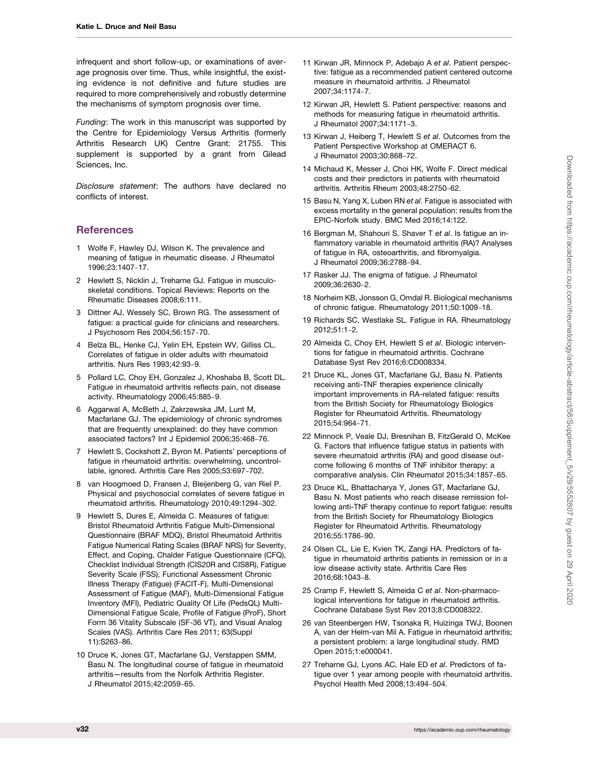<span id="page-3-0"></span>infrequent and short follow-up, or examinations of average prognosis over time. Thus, while insightful, the existing evidence is not definitive and future studies are required to more comprehensively and robustly determine the mechanisms of symptom prognosis over time.

Funding: The work in this manuscript was supported by the Centre for Epidemiology Versus Arthritis (formerly Arthritis Research UK) Centre Grant: 21755. This supplement is supported by a grant from Gilead Sciences, Inc.

Disclosure statement: The authors have declared no conflicts of interest.

# **References**

- 1 Wolfe F, Hawley DJ, Wilson K. The prevalence and meaning of fatigue in rheumatic disease. J Rheumatol 1996;23:1407-17.
- 2 Hewlett S, Nicklin J, Treharne GJ. Fatigue in musculoskeletal conditions. Topical Reviews: Reports on the Rheumatic Diseases 2008;6:111.
- 3 Dittner AJ, Wessely SC, Brown RG. The assessment of fatigue: a practical guide for clinicians and researchers. J Psychosom Res 2004;56:157-70.
- 4 Belza BL, Henke CJ, Yelin EH, Epstein WV, Gilliss CL. Correlates of fatigue in older adults with rheumatoid arthritis. Nurs Res 1993;42:93-9.
- 5 Pollard LC, Choy EH, Gonzalez J, Khoshaba B, Scott DL. Fatigue in rheumatoid arthritis reflects pain, not disease activity. Rheumatology 2006;45:885-9.
- 6 Aggarwal A, McBeth J, Zakrzewska JM, Lunt M, Macfarlane GJ. The epidemiology of chronic syndromes that are frequently unexplained: do they have common associated factors? Int J Epidemiol 2006;35:468-76.
- 7 Hewlett S, Cockshott Z, Byron M. Patients' perceptions of fatigue in rheumatoid arthritis: overwhelming, uncontrollable, ignored. Arthritis Care Res 2005;53:697-702.
- 8 van Hoogmoed D, Fransen J, Bleijenberg G, van Riel P. Physical and psychosocial correlates of severe fatigue in rheumatoid arthritis. Rheumatology 2010;49:1294-302.
- 9 Hewlett S, Dures E, Almeida C. Measures of fatigue: Bristol Rheumatoid Arthritis Fatigue Multi-Dimensional Questionnaire (BRAF MDQ), Bristol Rheumatoid Arthritis Fatigue Numerical Rating Scales (BRAF NRS) for Severity, Effect, and Coping, Chalder Fatigue Questionnaire (CFQ), Checklist Individual Strength (CIS20R and CIS8R), Fatigue Severity Scale (FSS), Functional Assessment Chronic Illness Therapy (Fatigue) (FACIT-F), Multi-Dimensional Assessment of Fatigue (MAF), Multi-Dimensional Fatigue Inventory (MFI), Pediatric Quality Of Life (PedsQL) Multi-Dimensional Fatigue Scale, Profile of Fatigue (ProF), Short Form 36 Vitality Subscale (SF-36 VT), and Visual Analog Scales (VAS). Arthritis Care Res 2011; 63(Suppl 11):S263-86.
- 10 Druce K, Jones GT, Macfarlane GJ, Verstappen SMM, Basu N. The longitudinal course of fatigue in rheumatoid arthritis—results from the Norfolk Arthritis Register. J Rheumatol 2015;42:2059-65.
- 11 Kirwan JR, Minnock P, Adebajo A et al. Patient perspective: fatigue as a recommended patient centered outcome measure in rheumatoid arthritis. J Rheumatol 2007;34:1174-7.
- 12 Kirwan JR, Hewlett S. Patient perspective: reasons and methods for measuring fatigue in rheumatoid arthritis. J Rheumatol 2007;34:1171-3.
- 13 Kirwan J, Heiberg T, Hewlett S et al. Outcomes from the Patient Perspective Workshop at OMERACT 6. J Rheumatol 2003;30:868-72.
- 14 Michaud K, Messer J, Choi HK, Wolfe F. Direct medical costs and their predictors in patients with rheumatoid arthritis. Arthritis Rheum 2003;48:2750-62.
- 15 Basu N, Yang X, Luben RN et al. Fatigue is associated with excess mortality in the general population: results from the EPIC-Norfolk study. BMC Med 2016;14:122.
- 16 Bergman M, Shahouri S, Shaver T et al. Is fatigue an inflammatory variable in rheumatoid arthritis (RA)? Analyses of fatigue in RA, osteoarthritis, and fibromyalgia. J Rheumatol 2009;36:2788-94.
- 17 Rasker JJ. The enigma of fatigue. J Rheumatol 2009;36:2630-2.
- 18 Norheim KB, Jonsson G, Omdal R. Biological mechanisms of chronic fatigue. Rheumatology 2011;50:1009-18.
- 19 Richards SC, Westlake SL. Fatigue in RA. Rheumatology 2012;51:1-2.
- 20 Almeida C, Choy EH, Hewlett S et al. Biologic interventions for fatigue in rheumatoid arthritis. Cochrane Database Syst Rev 2016;6:CD008334.
- 21 Druce KL, Jones GT, Macfarlane GJ, Basu N. Patients receiving anti-TNF therapies experience clinically important improvements in RA-related fatigue: results from the British Society for Rheumatology Biologics Register for Rheumatoid Arthritis. Rheumatology 2015;54:964-71.
- 22 Minnock P, Veale DJ, Bresnihan B, FitzGerald O, McKee G. Factors that influence fatigue status in patients with severe rheumatoid arthritis (RA) and good disease outcome following 6 months of TNF inhibitor therapy: a comparative analysis. Clin Rheumatol 2015;34:1857-65.
- 23 Druce KL, Bhattacharya Y, Jones GT, Macfarlane GJ, Basu N. Most patients who reach disease remission following anti-TNF therapy continue to report fatigue: results from the British Society for Rheumatology Biologics Register for Rheumatoid Arthritis. Rheumatology 2016;55:1786-90.
- 24 Olsen CL, Lie E, Kvien TK, Zangi HA. Predictors of fatigue in rheumatoid arthritis patients in remission or in a low disease activity state. Arthritis Care Res 2016;68:1043-8.
- 25 Cramp F, Hewlett S, Almeida C et al. Non-pharmacological interventions for fatigue in rheumatoid arthritis. Cochrane Database Syst Rev 2013;8:CD008322.
- 26 van Steenbergen HW, Tsonaka R, Huizinga TWJ, Boonen A, van der Helm-van Mil A. Fatigue in rheumatoid arthritis; a persistent problem: a large longitudinal study. RMD Open 2015;1:e000041.
- 27 Treharne GJ, Lyons AC, Hale ED et al. Predictors of fatigue over 1 year among people with rheumatoid arthritis. Psychol Health Med 2008;13:494-504.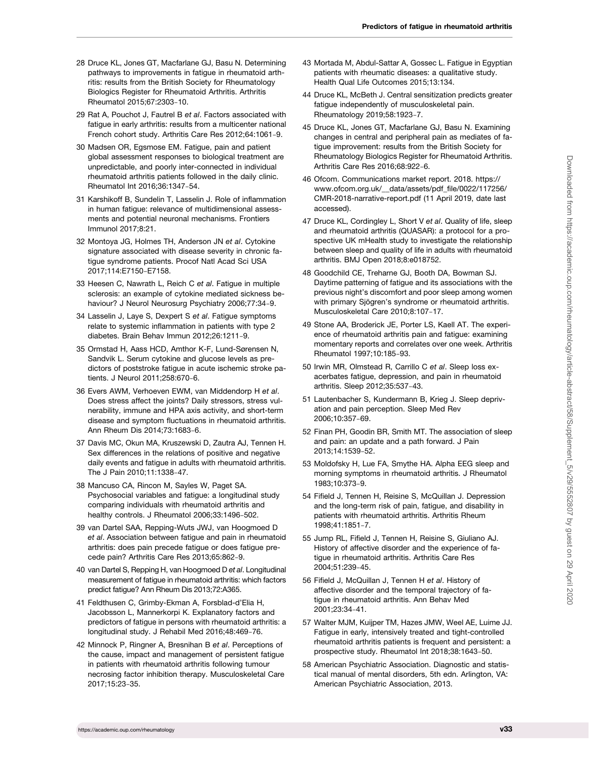- <span id="page-4-0"></span>28 Druce KL, Jones GT, Macfarlane GJ, Basu N. Determining pathways to improvements in fatigue in rheumatoid arthritis: results from the British Society for Rheumatology Biologics Register for Rheumatoid Arthritis. Arthritis Rheumatol 2015;67:2303-10.
- 29 Rat A, Pouchot J, Fautrel B et al. Factors associated with fatique in early arthritis: results from a multicenter national French cohort study. Arthritis Care Res 2012;64:1061-9.
- 30 Madsen OR, Egsmose EM. Fatigue, pain and patient global assessment responses to biological treatment are unpredictable, and poorly inter-connected in individual rheumatoid arthritis patients followed in the daily clinic. Rheumatol Int 2016;36:1347-54.
- 31 Karshikoff B, Sundelin T, Lasselin J. Role of inflammation in human fatigue: relevance of multidimensional assessments and potential neuronal mechanisms. Frontiers Immunol 2017;8:21.
- 32 Montoya JG, Holmes TH, Anderson JN et al. Cytokine signature associated with disease severity in chronic fatigue syndrome patients. Procof Natl Acad Sci USA 2017;114:E7150-E7158.
- 33 Heesen C, Nawrath L, Reich C et al. Fatigue in multiple sclerosis: an example of cytokine mediated sickness behaviour? J Neurol Neurosurg Psychiatry 2006;77:34-9.
- 34 Lasselin J, Laye S, Dexpert S et al. Fatique symptoms relate to systemic inflammation in patients with type 2 diabetes. Brain Behav Immun 2012;26:1211-9.
- 35 Ormstad H, Aass HCD, Amthor K-F, Lund-Sørensen N, Sandvik L. Serum cytokine and glucose levels as predictors of poststroke fatigue in acute ischemic stroke patients. J Neurol 2011;258:670-6.
- 36 Evers AWM, Verhoeven EWM, van Middendorp H et al. Does stress affect the joints? Daily stressors, stress vulnerability, immune and HPA axis activity, and short-term disease and symptom fluctuations in rheumatoid arthritis. Ann Rheum Dis 2014;73:1683-6.
- 37 Davis MC, Okun MA, Kruszewski D, Zautra AJ, Tennen H. Sex differences in the relations of positive and negative daily events and fatigue in adults with rheumatoid arthritis. The J Pain 2010;11:1338-47.
- 38 Mancuso CA, Rincon M, Sayles W, Paget SA. Psychosocial variables and fatigue: a longitudinal study comparing individuals with rheumatoid arthritis and healthy controls. J Rheumatol 2006;33:1496-502.
- 39 van Dartel SAA, Repping-Wuts JWJ, van Hoogmoed D et al. Association between fatigue and pain in rheumatoid arthritis: does pain precede fatigue or does fatigue precede pain? Arthritis Care Res 2013;65:862-9.
- 40 van Dartel S, Repping H, van Hoogmoed D et al. Longitudinal measurement of fatigue in rheumatoid arthritis: which factors predict fatigue? Ann Rheum Dis 2013;72:A365.
- 41 Feldthusen C, Grimby-Ekman A, Forsblad-d'Elia H, Jacobsson L, Mannerkorpi K. Explanatory factors and predictors of fatigue in persons with rheumatoid arthritis: a longitudinal study. J Rehabil Med 2016;48:469-76.
- 42 Minnock P, Ringner A, Bresnihan B et al. Perceptions of the cause, impact and management of persistent fatigue in patients with rheumatoid arthritis following tumour necrosing factor inhibition therapy. Musculoskeletal Care 2017;15:23-35.
- 43 Mortada M, Abdul-Sattar A, Gossec L. Fatigue in Egyptian patients with rheumatic diseases: a qualitative study. Health Qual Life Outcomes 2015;13:134.
- 44 Druce KL, McBeth J. Central sensitization predicts greater fatigue independently of musculoskeletal pain. Rheumatology 2019;58:1923-7.
- 45 Druce KL, Jones GT, Macfarlane GJ, Basu N. Examining changes in central and peripheral pain as mediates of fatigue improvement: results from the British Society for Rheumatology Biologics Register for Rheumatoid Arthritis. Arthritis Care Res 2016;68:922-6.
- 46 Ofcom. Communications market report. 2018. [https://](https://www.ofcom.org.uk/__data/assets/pdf_file/0022/117256/CMR-2018-narrative-report.pdf) [www.ofcom.org.uk/\\_\\_data/assets/pdf\\_file/0022/117256/](https://www.ofcom.org.uk/__data/assets/pdf_file/0022/117256/CMR-2018-narrative-report.pdf) [CMR-2018-narrative-report.pdf](https://www.ofcom.org.uk/__data/assets/pdf_file/0022/117256/CMR-2018-narrative-report.pdf) (11 April 2019, date last accessed).
- 47 Druce KL, Cordingley L, Short V et al. Quality of life, sleep and rheumatoid arthritis (QUASAR): a protocol for a prospective UK mHealth study to investigate the relationship between sleep and quality of life in adults with rheumatoid arthritis. BMJ Open 2018;8:e018752.
- 48 Goodchild CE, Treharne GJ, Booth DA, Bowman SJ. Daytime patterning of fatigue and its associations with the previous night's discomfort and poor sleep among women with primary Sjögren's syndrome or rheumatoid arthritis. Musculoskeletal Care 2010;8:107-17.
- 49 Stone AA, Broderick JE, Porter LS, Kaell AT. The experience of rheumatoid arthritis pain and fatigue: examining momentary reports and correlates over one week. Arthritis Rheumatol 1997;10:185-93.
- 50 Irwin MR, Olmstead R, Carrillo C et al. Sleep loss exacerbates fatigue, depression, and pain in rheumatoid arthritis. Sleep 2012;35:537-43.
- 51 Lautenbacher S, Kundermann B, Krieg J. Sleep deprivation and pain perception. Sleep Med Rev 2006;10:357-69.
- 52 Finan PH, Goodin BR, Smith MT. The association of sleep and pain: an update and a path forward. J Pain 2013;14:1539-52.
- 53 Moldofsky H, Lue FA, Smythe HA. Alpha EEG sleep and morning symptoms in rheumatoid arthritis. J Rheumatol 1983;10:373-9.
- 54 Fifield J, Tennen H, Reisine S, McQuillan J. Depression and the long-term risk of pain, fatigue, and disability in patients with rheumatoid arthritis. Arthritis Rheum 1998;41:1851-7.
- 55 Jump RL, Fifield J, Tennen H, Reisine S, Giuliano AJ. History of affective disorder and the experience of fatigue in rheumatoid arthritis. Arthritis Care Res 2004;51:239-45.
- 56 Fifield J, McQuillan J, Tennen H et al. History of affective disorder and the temporal trajectory of fatigue in rheumatoid arthritis. Ann Behav Med 2001;23:34-41.
- 57 Walter MJM, Kuijper TM, Hazes JMW, Weel AE, Luime JJ. Fatigue in early, intensively treated and tight-controlled rheumatoid arthritis patients is frequent and persistent: a prospective study. Rheumatol Int 2018;38:1643-50.
- 58 American Psychiatric Association. Diagnostic and statistical manual of mental disorders, 5th edn. Arlington, VA: American Psychiatric Association, 2013.